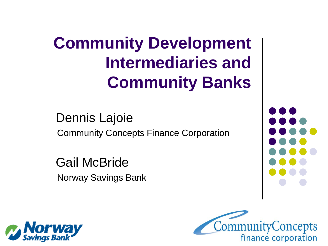## **Community Development Intermediaries and Community Banks**

 Dennis Lajoie Community Concepts Finance Corporation

 Gail McBride Norway Savings Bank





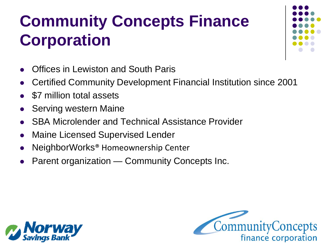# **Community Concepts Finance Corporation**

- Offices in Lewiston and South Paris
- Certified Community Development Financial Institution since 2001
- \$7 million total assets
- Serving western Maine
- SBA Microlender and Technical Assistance Provider
- Maine Licensed Supervised Lender
- NeighborWorks® Homeownership Center
- Parent organization Community Concepts Inc.





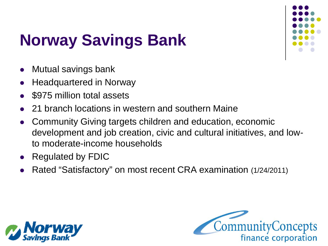

# **Norway Savings Bank**

- Mutual savings bank
- Headquartered in Norway
- \$975 million total assets
- 21 branch locations in western and southern Maine
- Community Giving targets children and education, economic development and job creation, civic and cultural initiatives, and lowto moderate-income households
- Regulated by FDIC
- Rated "Satisfactory" on most recent CRA examination (1/24/2011)



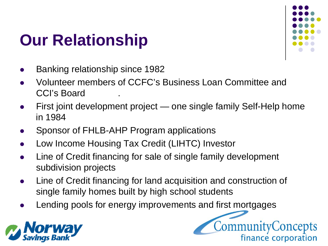### **Our Relationship**



- Banking relationship since 1982
- Volunteer members of CCFC's Business Loan Committee and CCI's Board
- First joint development project one single family Self-Help home in 1984
- Sponsor of FHLB-AHP Program applications
- Low Income Housing Tax Credit (LIHTC) Investor
- Line of Credit financing for sale of single family development subdivision projects
- Line of Credit financing for land acquisition and construction of single family homes built by high school students
- Lending pools for energy improvements and first mortgages



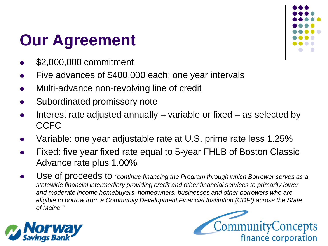### **Our Agreement**

- \$2,000,000 commitment
- Five advances of \$400,000 each; one year intervals
- Multi-advance non-revolving line of credit
- Subordinated promissory note
- Interest rate adjusted annually variable or fixed as selected by **CCFC**
- Variable: one year adjustable rate at U.S. prime rate less 1.25%
- Fixed: five year fixed rate equal to 5-year FHLB of Boston Classic Advance rate plus 1.00%
- Use of proceeds to *"continue financing the Program through which Borrower serves as a statewide financial intermediary providing credit and other financial services to primarily lower and moderate income homebuyers, homeowners, businesses and other borrowers who are eligible to borrow from a Community Development Financial Institution (CDFI) across the State of Maine."*





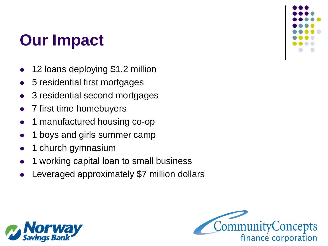### **Our Impact**

- 12 loans deploying \$1.2 million
- 5 residential first mortgages
- 3 residential second mortgages
- 7 first time homebuyers
- 1 manufactured housing co-op
- 1 boys and girls summer camp
- 1 church gymnasium
- 1 working capital loan to small business
- Leveraged approximately \$7 million dollars





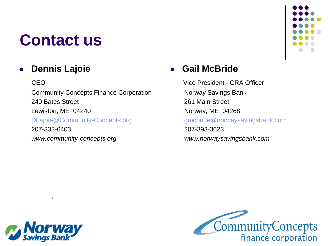#### **Contact us**

#### **Dennis Lajoie**

**CEO**  Community Concepts Finance Corporation 240 Bates Street Lewiston, ME 04240 [DLajoie@Community-Concepts.org](mailto:DLajoie@Community-Concepts.org) 207-333-6403 *www.community-concepts.org*

#### **Gail McBride**

 Vice President - CRA Officer Norway Savings Bank 261 Main Street Norway, ME 04268 [gmcbride@norwaysavingsbank.com](mailto:gmcbride@norwaysavingsbank.com) 207-393-3623  *www.norwaysavingsbank.com*



.